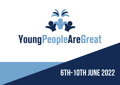

# **6th-10th June2022**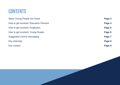# **CONTENTS**

| About Young People Are Great            | Page 3 |
|-----------------------------------------|--------|
| How to get involved: Education Partners | Page 4 |
| How to get involved: Employers          | Page 5 |
| How to get involved: Young People       | Page 6 |
| Suggested comms messaging               | Page 7 |
| Key channels                            | Page 8 |
| Key contact                             | Page 9 |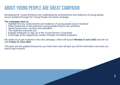## **ABOUT YOUNG PEOPLE ARE GREAT CAMPAIGN**

Developing the Young Workforce are celebrating the achievements and resilience of young people across Scotland through the Young People Are Great campaign.

#### **The campaign aims to:**

- Highlight the key achievements and resilience of young people across Scotland
- Raise awareness of the greatness young people bring to any workforce
- Spread good news, success and motivation
- The expected outcomes are:
- Engage employers to sign up to the Young Person's Guarantee
- Encourage active opportunity creation through committed employers

We invite you to get involved in this new campaign, which will launch **Monday 6 June 2022** and will run until **Friday 10 June 2022**.

This pack and the graphics/resources you have been sent will give you all the information and tools you need to get involved.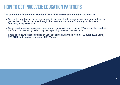### **How togetinvolved:Education Partners**

#### **The campaign will launch on Monday 6 June 2022 and we ask education partners to:**

- Spread the word about the campaign prior to the launch with young people encouraging them to get involved. This can be done through direct communication and/or through social media channels, using #**YPAG22**
- Share good news/success stories from young people with your regional DYW group, this can be in the form of a case study, video or quote depending on resources available

4

Share good news/success stories on your social media channels from **6 - 10 June 2022**, using **#YPAG22** and tagging your regional DYW group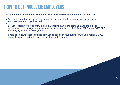### **HOW TO GET INVOLVED: EMPLOYERS**

#### **The campaign will launch on Monday 6 June 2022 and we ask education partners to:**

- Spread the word about the campaign prior to the launch with young people in your business encouraging them to get involved
- 
- Let your local DYW group know that you are taking part in the campaign and share good news/success stories on your own social media channels from **6-10 June 2022** using **#YPAG22** and tagging your local DYW group
- Share good news/success stories from young people in your business with your regional DYW group, this can be in the form of a case study, video or quote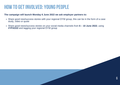### **HOW TO GET INVOLVED: YOUNG PEOPLE**

#### **The campaign will launch Monday 6 June 2022 we ask employer partners to:**

- Share good new/success stories with your regional DYW group, this can be in the form of a case study, video or quote
- Share good news/success stories on your social media channels from **6 – 10 June 2022**, using #YPAG22 and tagging your regional DYW group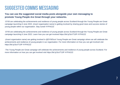### **Suggested comms messaging**

#### **You can use the suggested social media posts alongside your own messaging to promote Young People Are Great through your networks.**

-DYW are celebrating the achievements and resilience of young people across Scotland through the Young People are Great campaign launching 6 June 2022. *(insert organisation name)* is getting involved by sharing good news and success stories of young people within our organisation. Stay tuned! #YPAG22

-DYW are celebrating the achievements and resilience of young people across Scotland through the Young People are Great campaign launching 6 June 2022. Learn how you can get involved https://bit.ly/3uVT10P #YPAG22

-*(insert organisation name)* are getting involved in @DYWScot Young People are Great campaign where we will celebrate the achievements and resilience of young people in our organisation. For more information on how you can get involved visit https://bit.ly/3uVT10P #YPAG22

-The Young People are Great campaign will celebrate the achievements and resilience of young people across Scotland. For more information on how you can get involved visit https://bit.ly/3uVT10P #YPAG22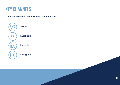### **keychannels**

**The main channels used for this campaign are:**